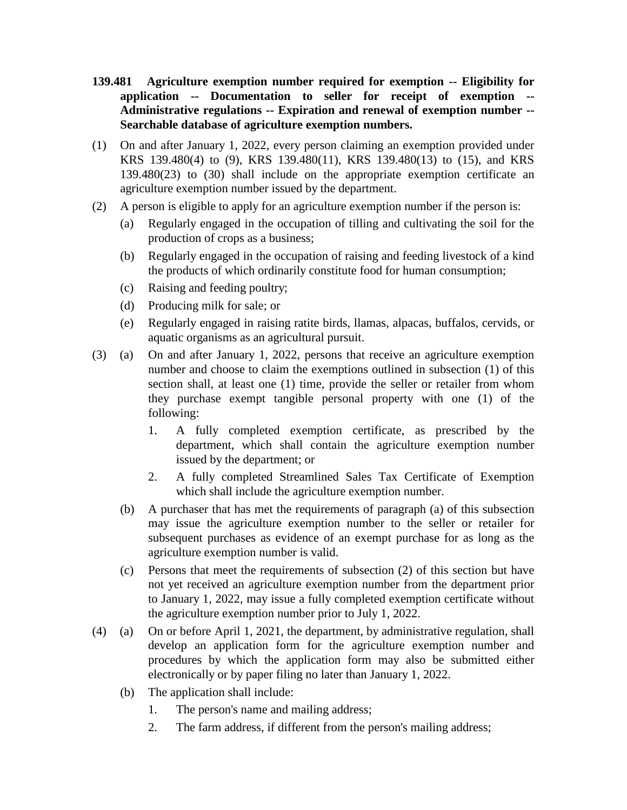- **139.481 Agriculture exemption number required for exemption -- Eligibility for application -- Documentation to seller for receipt of exemption -- Administrative regulations -- Expiration and renewal of exemption number -- Searchable database of agriculture exemption numbers.**
- (1) On and after January 1, 2022, every person claiming an exemption provided under KRS 139.480(4) to (9), KRS 139.480(11), KRS 139.480(13) to (15), and KRS 139.480(23) to (30) shall include on the appropriate exemption certificate an agriculture exemption number issued by the department.
- (2) A person is eligible to apply for an agriculture exemption number if the person is:
	- (a) Regularly engaged in the occupation of tilling and cultivating the soil for the production of crops as a business;
	- (b) Regularly engaged in the occupation of raising and feeding livestock of a kind the products of which ordinarily constitute food for human consumption;
	- (c) Raising and feeding poultry;
	- (d) Producing milk for sale; or
	- (e) Regularly engaged in raising ratite birds, llamas, alpacas, buffalos, cervids, or aquatic organisms as an agricultural pursuit.
- (3) (a) On and after January 1, 2022, persons that receive an agriculture exemption number and choose to claim the exemptions outlined in subsection (1) of this section shall, at least one (1) time, provide the seller or retailer from whom they purchase exempt tangible personal property with one (1) of the following:
	- 1. A fully completed exemption certificate, as prescribed by the department, which shall contain the agriculture exemption number issued by the department; or
	- 2. A fully completed Streamlined Sales Tax Certificate of Exemption which shall include the agriculture exemption number.
	- (b) A purchaser that has met the requirements of paragraph (a) of this subsection may issue the agriculture exemption number to the seller or retailer for subsequent purchases as evidence of an exempt purchase for as long as the agriculture exemption number is valid.
	- (c) Persons that meet the requirements of subsection (2) of this section but have not yet received an agriculture exemption number from the department prior to January 1, 2022, may issue a fully completed exemption certificate without the agriculture exemption number prior to July 1, 2022.
- (4) (a) On or before April 1, 2021, the department, by administrative regulation, shall develop an application form for the agriculture exemption number and procedures by which the application form may also be submitted either electronically or by paper filing no later than January 1, 2022.
	- (b) The application shall include:
		- 1. The person's name and mailing address;
		- 2. The farm address, if different from the person's mailing address;